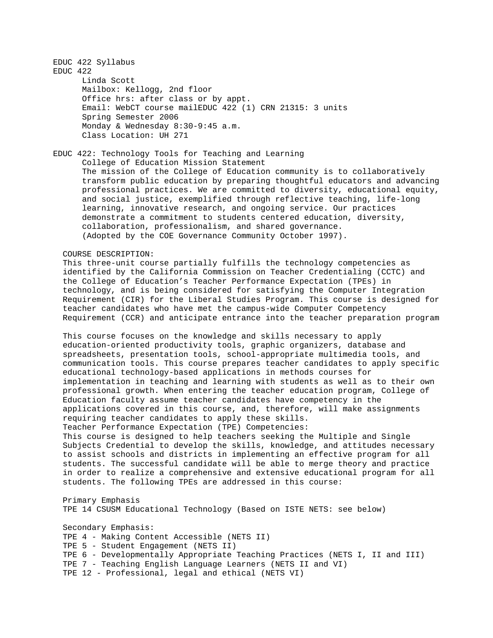EDUC 422 Syllabus EDUC 422 Linda Scott Mailbox: Kellogg, 2nd floor Office hrs: after class or by appt. Email: WebCT course mailEDUC 422 (1) CRN 21315: 3 units Spring Semester 2006 Monday & Wednesday 8:30-9:45 a.m. Class Location: UH 271

EDUC 422: Technology Tools for Teaching and Learning College of Education Mission Statement The mission of the College of Education community is to collaboratively transform public education by preparing thoughtful educators and advancing professional practices. We are committed to diversity, educational equity, and social justice, exemplified through reflective teaching, life-long learning, innovative research, and ongoing service. Our practices demonstrate a commitment to students centered education, diversity, collaboration, professionalism, and shared governance. (Adopted by the COE Governance Community October 1997).

## COURSE DESCRIPTION:

 This three-unit course partially fulfills the technology competencies as identified by the California Commission on Teacher Credentialing (CCTC) and the College of Education's Teacher Performance Expectation (TPEs) in technology, and is being considered for satisfying the Computer Integration Requirement (CIR) for the Liberal Studies Program. This course is designed for teacher candidates who have met the campus-wide Computer Competency Requirement (CCR) and anticipate entrance into the teacher preparation program

 This course focuses on the knowledge and skills necessary to apply education-oriented productivity tools, graphic organizers, database and spreadsheets, presentation tools, school-appropriate multimedia tools, and communication tools. This course prepares teacher candidates to apply specific educational technology-based applications in methods courses for implementation in teaching and learning with students as well as to their own professional growth. When entering the teacher education program, College of Education faculty assume teacher candidates have competency in the applications covered in this course, and, therefore, will make assignments requiring teacher candidates to apply these skills. Teacher Performance Expectation (TPE) Competencies: This course is designed to help teachers seeking the Multiple and Single Subjects Credential to develop the skills, knowledge, and attitudes necessary to assist schools and districts in implementing an effective program for all students. The successful candidate will be able to merge theory and practice in order to realize a comprehensive and extensive educational program for all students. The following TPEs are addressed in this course:

 Primary Emphasis TPE 14 CSUSM Educational Technology (Based on ISTE NETS: see below)

 Secondary Emphasis: TPE 4 - Making Content Accessible (NETS II) TPE 5 - Student Engagement (NETS II) TPE 6 - Developmentally Appropriate Teaching Practices (NETS I, II and III) TPE 7 - Teaching English Language Learners (NETS II and VI) TPE 12 - Professional, legal and ethical (NETS VI)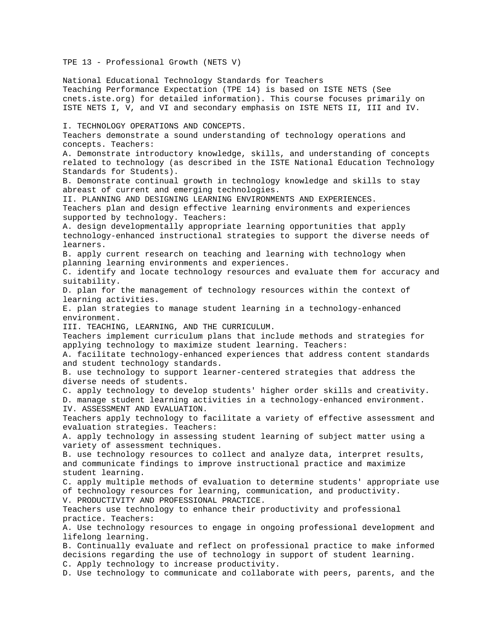TPE 13 - Professional Growth (NETS V)

 National Educational Technology Standards for Teachers Teaching Performance Expectation (TPE 14) is based on ISTE NETS (See cnets.iste.org) for detailed information). This course focuses primarily on ISTE NETS I, V, and VI and secondary emphasis on ISTE NETS II, III and IV. I. TECHNOLOGY OPERATIONS AND CONCEPTS. Teachers demonstrate a sound understanding of technology operations and concepts. Teachers: A. Demonstrate introductory knowledge, skills, and understanding of concepts related to technology (as described in the ISTE National Education Technology Standards for Students). B. Demonstrate continual growth in technology knowledge and skills to stay abreast of current and emerging technologies. II. PLANNING AND DESIGNING LEARNING ENVIRONMENTS AND EXPERIENCES. Teachers plan and design effective learning environments and experiences supported by technology. Teachers: A. design developmentally appropriate learning opportunities that apply technology-enhanced instructional strategies to support the diverse needs of learners. B. apply current research on teaching and learning with technology when planning learning environments and experiences. C. identify and locate technology resources and evaluate them for accuracy and suitability. D. plan for the management of technology resources within the context of learning activities. E. plan strategies to manage student learning in a technology-enhanced environment. III. TEACHING, LEARNING, AND THE CURRICULUM. Teachers implement curriculum plans that include methods and strategies for applying technology to maximize student learning. Teachers: A. facilitate technology-enhanced experiences that address content standards and student technology standards. B. use technology to support learner-centered strategies that address the diverse needs of students. C. apply technology to develop students' higher order skills and creativity. D. manage student learning activities in a technology-enhanced environment. IV. ASSESSMENT AND EVALUATION. Teachers apply technology to facilitate a variety of effective assessment and evaluation strategies. Teachers: A. apply technology in assessing student learning of subject matter using a variety of assessment techniques. B. use technology resources to collect and analyze data, interpret results, and communicate findings to improve instructional practice and maximize student learning. C. apply multiple methods of evaluation to determine students' appropriate use of technology resources for learning, communication, and productivity. V. PRODUCTIVITY AND PROFESSIONAL PRACTICE. Teachers use technology to enhance their productivity and professional practice. Teachers: A. Use technology resources to engage in ongoing professional development and lifelong learning. B. Continually evaluate and reflect on professional practice to make informed decisions regarding the use of technology in support of student learning. C. Apply technology to increase productivity. D. Use technology to communicate and collaborate with peers, parents, and the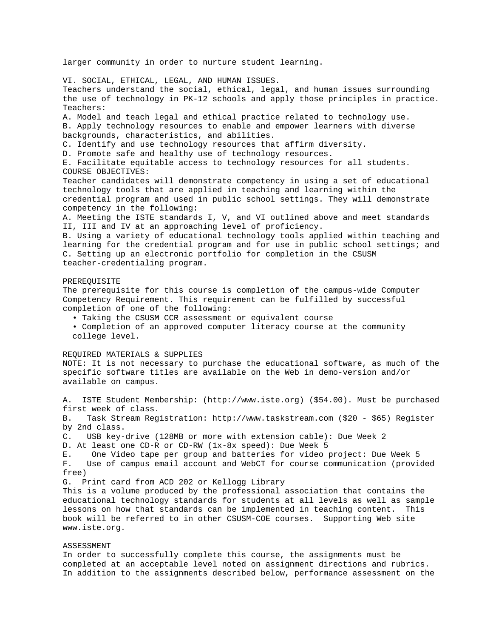larger community in order to nurture student learning. VI. SOCIAL, ETHICAL, LEGAL, AND HUMAN ISSUES. Teachers understand the social, ethical, legal, and human issues surrounding the use of technology in PK-12 schools and apply those principles in practice. Teachers: A. Model and teach legal and ethical practice related to technology use. B. Apply technology resources to enable and empower learners with diverse backgrounds, characteristics, and abilities. C. Identify and use technology resources that affirm diversity. D. Promote safe and healthy use of technology resources. E. Facilitate equitable access to technology resources for all students. COURSE OBJECTIVES: Teacher candidates will demonstrate competency in using a set of educational technology tools that are applied in teaching and learning within the credential program and used in public school settings. They will demonstrate competency in the following: A. Meeting the ISTE standards I, V, and VI outlined above and meet standards II, III and IV at an approaching level of proficiency. B. Using a variety of educational technology tools applied within teaching and learning for the credential program and for use in public school settings; and C. Setting up an electronic portfolio for completion in the CSUSM teacher-credentialing program. PREREQUISITE The prerequisite for this course is completion of the campus-wide Computer Competency Requirement. This requirement can be fulfilled by successful completion of one of the following: • Taking the CSUSM CCR assessment or equivalent course • Completion of an approved computer literacy course at the community college level. REQUIRED MATERIALS & SUPPLIES NOTE: It is not necessary to purchase the educational software, as much of the specific software titles are available on the Web in demo-version and/or available on campus. A. ISTE Student Membership: (http://www.iste.org) (\$54.00). Must be purchased first week of class. B. Task Stream Registration: http://www.taskstream.com (\$20 - \$65) Register by 2nd class. C. USB key-drive (128MB or more with extension cable): Due Week 2 D. At least one CD-R or CD-RW (1x-8x speed): Due Week 5 E. One Video tape per group and batteries for video project: Due Week 5 F. Use of campus email account and WebCT for course communication (provided free) G. Print card from ACD 202 or Kellogg Library This is a volume produced by the professional association that contains the educational technology standards for students at all levels as well as sample lessons on how that standards can be implemented in teaching content. This book will be referred to in other CSUSM-COE courses. Supporting Web site www.iste.org.

# ASSESSMENT

 In order to successfully complete this course, the assignments must be completed at an acceptable level noted on assignment directions and rubrics. In addition to the assignments described below, performance assessment on the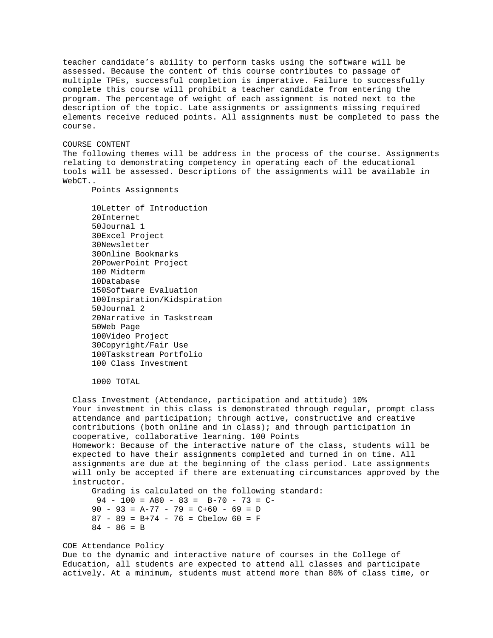teacher candidate's ability to perform tasks using the software will be assessed. Because the content of this course contributes to passage of multiple TPEs, successful completion is imperative. Failure to successfully complete this course will prohibit a teacher candidate from entering the program. The percentage of weight of each assignment is noted next to the description of the topic. Late assignments or assignments missing required elements receive reduced points. All assignments must be completed to pass the course.

### COURSE CONTENT

 The following themes will be address in the process of the course. Assignments relating to demonstrating competency in operating each of the educational tools will be assessed. Descriptions of the assignments will be available in WebCT..

Points Assignments

```
 10Letter of Introduction 
20Internet 
50Journal 1 
30Excel Project 
30Newsletter 
30Online Bookmarks 
20PowerPoint Project 
100 Midterm 
10Database 
150Software Evaluation 
100Inspiration/Kidspiration 
50Journal 2 
20Narrative in Taskstream 
50Web Page 
100Video Project 
30Copyright/Fair Use 
100Taskstream Portfolio 
100 Class Investment
```

```
 1000 TOTAL
```
 Class Investment (Attendance, participation and attitude) 10% Your investment in this class is demonstrated through regular, prompt class attendance and participation; through active, constructive and creative contributions (both online and in class); and through participation in cooperative, collaborative learning. 100 Points Homework: Because of the interactive nature of the class, students will be expected to have their assignments completed and turned in on time. All assignments are due at the beginning of the class period. Late assignments will only be accepted if there are extenuating circumstances approved by the instructor. Grading is calculated on the following standard: 94 - 100 = A80 - 83 = B-70 - 73 = C-

 90 - 93 = A-77 - 79 = C+60 - 69 = D 87 - 89 = B+74 - 76 = Cbelow 60 = F 84 - 86 = B

COE Attendance Policy

 Due to the dynamic and interactive nature of courses in the College of Education, all students are expected to attend all classes and participate actively. At a minimum, students must attend more than 80% of class time, or